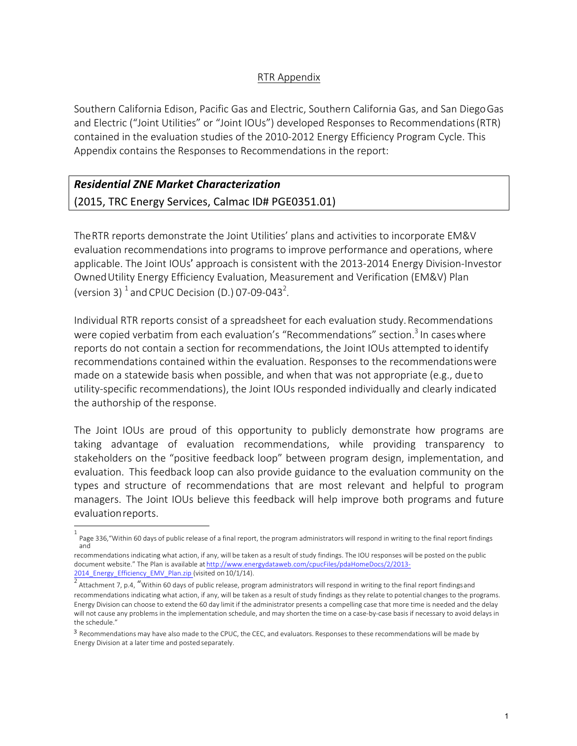## RTR Appendix

Southern California Edison, Pacific Gas and Electric, Southern California Gas, and San DiegoGas and Electric ("Joint Utilities" or "Joint IOUs") developed Responses to Recommendations (RTR) contained in the evaluation studies of the 2010-2012 Energy Efficiency Program Cycle. This Appendix contains the Responses to Recommendations in the report:

## *Residential ZNE Market Characterization* (2015, TRC Energy Services, Calmac ID# PGE0351.01)

The RTR reports demonstrate the Joint Utilities' plans and activities to incorporate EM&V evaluation recommendations into programs to improve performance and operations, where applicable. The Joint IOUs' approach is consistent with the 2013-2014 Energy Division-Investor OwnedUtility Energy Efficiency Evaluation, Measurement and Verification (EM&V) Plan (version 3)  $^1$  and CPUC Decision (D.) 07-09-043<sup>2</sup>.

Individual RTR reports consist of a spreadsheet for each evaluation study. Recommendations were copied verbatim from each evaluation's "Recommendations" section.<sup>3</sup> In cases where reports do not contain a section for recommendations, the Joint IOUs attempted to identify recommendations contained within the evaluation. Responses to the recommendations were made on a statewide basis when possible, and when that was not appropriate (e.g., due to utility-specific recommendations), the Joint IOUs responded individually and clearly indicated the authorship of the response.

The Joint IOUs are proud of this opportunity to publicly demonstrate how programs are taking advantage of evaluation recommendations, while providing transparency to stakeholders on the "positive feedback loop" between program design, implementation, and evaluation. This feedback loop can also provide guidance to the evaluation community on the types and structure of recommendations that are most relevant and helpful to program managers. The Joint IOUs believe this feedback will help improve both programs and future evaluationreports.

<sup>1</sup> Page 336,"Within 60 days of public release of a final report, the program administrators will respond in writing to the final report findings and

recommendations indicating what action, if any, will be taken as a result of study findings. The IOU responses will be posted on the public document website." The Plan is available at http://www.energydataweb.com/cpucFiles/pdaHomeDocs/2/2013- 2014\_Energy\_Efficiency\_EMV\_Plan.zip (visited on 10/1/14).

Attachment 7, p.4, "Within 60 days of public release, program administrators will respond in writing to the final report findingsand recommendations indicating what action, if any, will be taken as a result of study findings as they relate to potential changes to the programs. Energy Division can choose to extend the 60 day limit if the administrator presents a compelling case that more time is needed and the delay will not cause any problems in the implementation schedule, and may shorten the time on a case-by-case basis if necessary to avoid delays in the schedule."

<sup>3</sup> Recommendations may have also made to the CPUC, the CEC, and evaluators. Responses to these recommendations will be made by Energy Division at a later time and posted separately.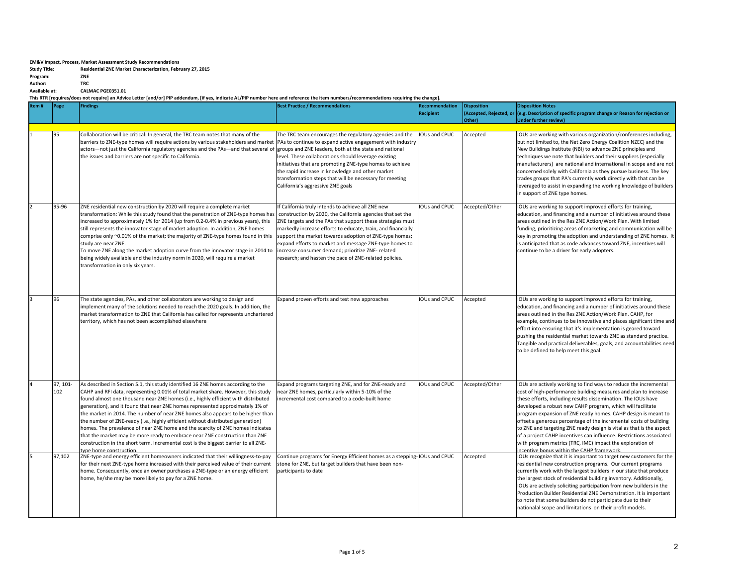## **EM&V** Impact, Process, Market Assessment Study Recommendations

| <b>Study Title:</b> | Residential ZNE Market Characterization, February 27, 2015 |
|---------------------|------------------------------------------------------------|
|---------------------|------------------------------------------------------------|

**Program: ZNE**<br> **Author: TRC** Author:<br>**Available** at:

**Available at: CALMAC PGE0351.01**

This RTR [requires/does not require] an Advice Letter [and/or] PIP addendum, [if yes, indicate AL/PIP number here and reference the item numbers/recommendations requiring the change].

| Item# | Page            | <b>Findings</b>                                                                                                                                                                                                                                                                                                                                                                                                                                                                                                                                                                                                                                                                                                                                                                                     | <b>Best Practice / Recommendations</b>                                                                                                                                                                                                                                                                                                                                                                                                                                            | Recommendation<br><b>Recipient</b> | <b>Disposition</b><br>Other) | <b>Disposition Notes</b><br>(Accepted, Rejected, or (e.g. Description of specific program change or Reason for rejection or<br>Under further review)                                                                                                                                                                                                                                                                                                                                                                                                                                                                                                               |
|-------|-----------------|-----------------------------------------------------------------------------------------------------------------------------------------------------------------------------------------------------------------------------------------------------------------------------------------------------------------------------------------------------------------------------------------------------------------------------------------------------------------------------------------------------------------------------------------------------------------------------------------------------------------------------------------------------------------------------------------------------------------------------------------------------------------------------------------------------|-----------------------------------------------------------------------------------------------------------------------------------------------------------------------------------------------------------------------------------------------------------------------------------------------------------------------------------------------------------------------------------------------------------------------------------------------------------------------------------|------------------------------------|------------------------------|--------------------------------------------------------------------------------------------------------------------------------------------------------------------------------------------------------------------------------------------------------------------------------------------------------------------------------------------------------------------------------------------------------------------------------------------------------------------------------------------------------------------------------------------------------------------------------------------------------------------------------------------------------------------|
|       | 95              | Collaboration will be critical: In general, the TRC team notes that many of the<br>barriers to ZNE-type homes will require actions by various stakeholders and market<br>actors-not just the California regulatory agencies and the PAs-and that several of<br>the issues and barriers are not specific to California.                                                                                                                                                                                                                                                                                                                                                                                                                                                                              | The TRC team encourages the regulatory agencies and the<br>PAs to continue to expand active engagement with industry<br>groups and ZNE leaders, both at the state and national<br>level. These collaborations should leverage existing                                                                                                                                                                                                                                            | <b>IOUs and CPUC</b>               | Accepted                     | IOUs are working with various organization/conferences including,<br>but not limited to, the Net Zero Energy Coalition NZEC) and the<br>New Buildings Institute (NBI) to advance ZNE principles and<br>techniques we note that builders and their suppliers (especially                                                                                                                                                                                                                                                                                                                                                                                            |
|       |                 |                                                                                                                                                                                                                                                                                                                                                                                                                                                                                                                                                                                                                                                                                                                                                                                                     | initiatives that are promoting ZNE-type homes to achieve<br>the rapid increase in knowledge and other market<br>transformation steps that will be necessary for meeting<br>California's aggressive ZNE goals                                                                                                                                                                                                                                                                      |                                    |                              | manufacturers) are national and international in scope and are not<br>concerned solely with California as they pursue business. The key<br>trades groups that PA's currently work directly with that can be<br>leveraged to assist in expanding the working knowledge of builders<br>in support of ZNE type homes.                                                                                                                                                                                                                                                                                                                                                 |
|       | 95-96           | ZNE residential new construction by 2020 will require a complete market<br>transformation: While this study found that the penetration of ZNE-type homes has<br>increased to approximately 1% for 2014 (up from 0.2-0.4% in previous years), this<br>still represents the innovator stage of market adoption. In addition, ZNE homes<br>comprise only ~0.01% of the market; the majority of ZNE-type homes found in this<br>study are near ZNE.<br>To move ZNE along the market adoption curve from the innovator stage in 2014 to<br>being widely available and the industry norm in 2020, will require a market<br>transformation in only six years.                                                                                                                                              | If California truly intends to achieve all ZNE new<br>construction by 2020, the California agencies that set the<br>ZNE targets and the PAs that support these strategies must<br>markedly increase efforts to educate, train, and financially<br>support the market towards adoption of ZNE-type homes;<br>expand efforts to market and message ZNE-type homes to<br>increase consumer demand; prioritize ZNE- related<br>research; and hasten the pace of ZNE-related policies. | <b>IOUs and CPUC</b>               | Accepted/Other               | IOUs are working to support improved efforts for training,<br>education, and financing and a number of initiatives around these<br>areas outlined in the Res ZNE Action/Work Plan. With limited<br>funding, prioritizing areas of marketing and communication will be<br>key in promoting the adoption and understanding of ZNE homes. It<br>is anticipated that as code advances toward ZNE, incentives will<br>continue to be a driver for early adopters.                                                                                                                                                                                                       |
|       | 96              | The state agencies, PAs, and other collaborators are working to design and<br>implement many of the solutions needed to reach the 2020 goals. In addition, the<br>market transformation to ZNE that California has called for represents unchartered<br>territory, which has not been accomplished elsewhere                                                                                                                                                                                                                                                                                                                                                                                                                                                                                        | Expand proven efforts and test new approaches                                                                                                                                                                                                                                                                                                                                                                                                                                     | IOUs and CPUC                      | Accepted                     | IOUs are working to support improved efforts for training,<br>education, and financing and a number of initiatives around these<br>areas outlined in the Res ZNE Action/Work Plan. CAHP, for<br>example, continues to be innovative and places significant time and<br>effort into ensuring that it's implementation is geared toward<br>pushing the residential market towards ZNE as standard practice.<br>Tangible and practical deliverables, goals, and accountabilities need<br>to be defined to help meet this goal.                                                                                                                                        |
|       | 97, 101-<br>102 | As described in Section 5.1, this study identified 16 ZNE homes according to the<br>CAHP and RFI data, representing 0.01% of total market share. However, this study<br>found almost one thousand near ZNE homes (i.e., highly efficient with distributed<br>generation), and it found that near ZNE homes represented approximately 1% of<br>the market in 2014. The number of near ZNE homes also appears to be higher than<br>the number of ZNE-ready (i.e., highly efficient without distributed generation)<br>homes. The prevalence of near ZNE home and the scarcity of ZNE homes indicates<br>that the market may be more ready to embrace near ZNE construction than ZNE<br>construction in the short term. Incremental cost is the biggest barrier to all ZNE-<br>type home construction. | Expand programs targeting ZNE, and for ZNE-ready and<br>near ZNE homes, particularly within 5-10% of the<br>incremental cost compared to a code-built home                                                                                                                                                                                                                                                                                                                        | IOUs and CPUC                      | Accepted/Other               | IOUs are actively working to find ways to reduce the incremental<br>cost of high-performance building measures and plan to increase<br>these efforts, including results dissemination. The IOUs have<br>developed a robust new CAHP program, which will facilitate<br>program expansion of ZNE ready homes. CAHP design is meant to<br>offset a generous percentage of the incremental costs of building<br>to ZNE and targeting ZNE ready design is vital as that is the aspect<br>of a project CAHP incentives can influence. Restrictions associated<br>with program metrics (TRC, IMC) impact the exploration of<br>incentive bonus within the CAHP framework. |
|       | 97,102          | ZNE-type and energy efficient homeowners indicated that their willingness-to-pay<br>for their next ZNE-type home increased with their perceived value of their current<br>home. Consequently, once an owner purchases a ZNE-type or an energy efficient<br>home, he/she may be more likely to pay for a ZNE home.                                                                                                                                                                                                                                                                                                                                                                                                                                                                                   | Continue programs for Energy Efficient homes as a stepping-IOUs and CPUC<br>stone for ZNE, but target builders that have been non-<br>participants to date                                                                                                                                                                                                                                                                                                                        |                                    | Accepted                     | IOUs recognize that it is important to target new customers for the<br>residential new construction programs. Our current programs<br>currently work with the largest builders in our state that produce<br>the largest stock of residential building inventory. Additionally,<br>IOUs are actively soliciting participation from new builders in the<br>Production Builder Residential ZNE Demonstration. It is important<br>to note that some builders do not participate due to their<br>nationalal scope and limitations on their profit models.                                                                                                               |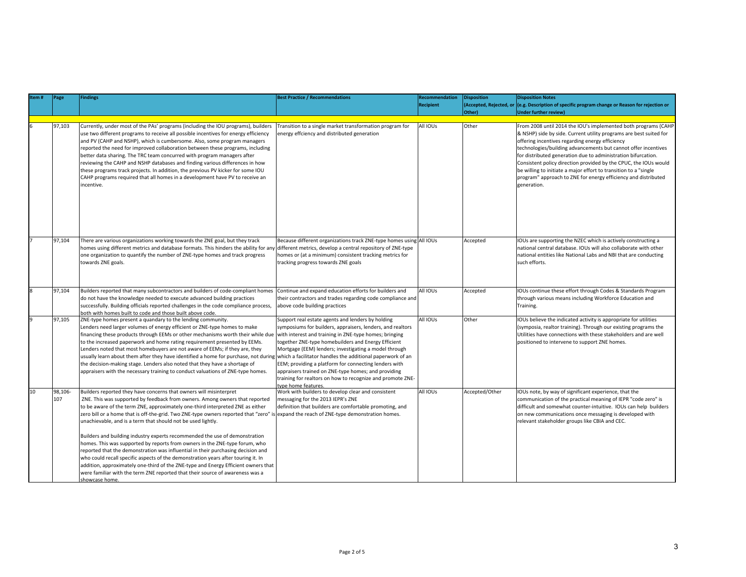| Item# | Page           | Findings                                                                                                                                                                                                                                                                                                                                                                                                                                                                                                                                                                                                                                                                                                                                                                                                                                                                                                                     | <b>Best Practice / Recommendations</b>                                                                                                                                                                                                                                                                                                                                                                                                                                                         | <b>Recommendation</b> | <b>Disposition</b>      | <b>Disposition Notes</b>                                                                                                                                                                                                                                                                                                                                                                                                                                                                                                                             |
|-------|----------------|------------------------------------------------------------------------------------------------------------------------------------------------------------------------------------------------------------------------------------------------------------------------------------------------------------------------------------------------------------------------------------------------------------------------------------------------------------------------------------------------------------------------------------------------------------------------------------------------------------------------------------------------------------------------------------------------------------------------------------------------------------------------------------------------------------------------------------------------------------------------------------------------------------------------------|------------------------------------------------------------------------------------------------------------------------------------------------------------------------------------------------------------------------------------------------------------------------------------------------------------------------------------------------------------------------------------------------------------------------------------------------------------------------------------------------|-----------------------|-------------------------|------------------------------------------------------------------------------------------------------------------------------------------------------------------------------------------------------------------------------------------------------------------------------------------------------------------------------------------------------------------------------------------------------------------------------------------------------------------------------------------------------------------------------------------------------|
|       |                |                                                                                                                                                                                                                                                                                                                                                                                                                                                                                                                                                                                                                                                                                                                                                                                                                                                                                                                              |                                                                                                                                                                                                                                                                                                                                                                                                                                                                                                | <b>Recipient</b>      | (Accepted, Rejected, or | (e.g. Description of specific program change or Reason for rejection or                                                                                                                                                                                                                                                                                                                                                                                                                                                                              |
|       |                |                                                                                                                                                                                                                                                                                                                                                                                                                                                                                                                                                                                                                                                                                                                                                                                                                                                                                                                              |                                                                                                                                                                                                                                                                                                                                                                                                                                                                                                |                       | Other)                  | <b>Under further review)</b>                                                                                                                                                                                                                                                                                                                                                                                                                                                                                                                         |
|       |                |                                                                                                                                                                                                                                                                                                                                                                                                                                                                                                                                                                                                                                                                                                                                                                                                                                                                                                                              |                                                                                                                                                                                                                                                                                                                                                                                                                                                                                                |                       |                         |                                                                                                                                                                                                                                                                                                                                                                                                                                                                                                                                                      |
|       | 97,103         | Currently, under most of the PAs' programs (including the IOU programs), builders<br>use two different programs to receive all possible incentives for energy efficiency<br>and PV (CAHP and NSHP), which is cumbersome. Also, some program managers<br>reported the need for improved collaboration between these programs, including<br>better data sharing. The TRC team concurred with program managers after<br>reviewing the CAHP and NSHP databases and finding various differences in how<br>these programs track projects. In addition, the previous PV kicker for some IOU<br>CAHP programs required that all homes in a development have PV to receive an<br>incentive.                                                                                                                                                                                                                                           | Transition to a single market transformation program for<br>energy effciency and distributed generation                                                                                                                                                                                                                                                                                                                                                                                        | All IOUs              | Other                   | From 2008 until 2014 the IOU's implemented both programs (CAHP<br>& NSHP) side by side. Current utility programs are best suited for<br>offering incentives regarding energy efficiency<br>technologies/building advancements but cannot offer incentives<br>for distributed generation due to administration bifurcation.<br>Consistent policy direction provided by the CPUC, the IOUs would<br>be willing to initiate a major effort to transition to a "single"<br>program" approach to ZNE for energy efficiency and distributed<br>generation. |
|       | 97,104         | There are various organizations working towards the ZNE goal, but they track<br>homes using different metrics and database formats. This hinders the ability for any different metrics, develop a central repository of ZNE-type<br>one organization to quantify the number of ZNE-type homes and track progress<br>towards ZNE goals.                                                                                                                                                                                                                                                                                                                                                                                                                                                                                                                                                                                       | Because different organizations track ZNE-type homes using All IOUs<br>homes or (at a minimum) consistent tracking metrics for<br>tracking progress towards ZNE goals                                                                                                                                                                                                                                                                                                                          |                       | Accepted                | IOUs are supporting the NZEC which is actively constructing a<br>national central database. IOUs will also collaborate with other<br>national entities like National Labs and NBI that are conducting<br>such efforts.                                                                                                                                                                                                                                                                                                                               |
|       | 97,104         | Builders reported that many subcontractors and builders of code-compliant homes<br>do not have the knowledge needed to execute advanced building practices<br>successfully. Building officials reported challenges in the code compliance process,<br>both with homes built to code and those built above code.                                                                                                                                                                                                                                                                                                                                                                                                                                                                                                                                                                                                              | Continue and expand education efforts for builders and<br>their contractors and trades regarding code compliance and<br>above code building practices                                                                                                                                                                                                                                                                                                                                          | All IOUs              | Accepted                | IOUs continue these effort through Codes & Standards Program<br>through various means including Workforce Education and<br>Training.                                                                                                                                                                                                                                                                                                                                                                                                                 |
| 9     | 97.105         | ZNE-type homes present a quandary to the lending community.<br>Lenders need larger volumes of energy efficient or ZNE-type homes to make<br>financing these products through EEMs or other mechanisms worth their while due<br>to the increased paperwork and home rating requirement presented by EEMs.<br>Lenders noted that most homebuyers are not aware of EEMs; if they are, they<br>usually learn about them after they have identified a home for purchase, not during which a facilitator handles the additional paperwork of an<br>the decision-making stage. Lenders also noted that they have a shortage of<br>appraisers with the necessary training to conduct valuations of ZNE-type homes.                                                                                                                                                                                                                   | Support real estate agents and lenders by holding<br>symposiums for builders, appraisers, lenders, and realtors<br>with interest and training in ZNE-type homes; bringing<br>together ZNE-type homebuilders and Energy Efficient<br>Mortgage (EEM) lenders; investigating a model through<br>EEM; providing a platform for connecting lenders with<br>appraisers trained on ZNE-type homes; and providing<br>training for realtors on how to recognize and promote ZNE-<br>type home features. | AII IOUs              | Other                   | IOUs believe the indicated activity is appropriate for utilities<br>(symposia, realtor training). Through our existing programs the<br>Utilities have connections with these stakeholders and are well<br>positioned to intervene to support ZNE homes.                                                                                                                                                                                                                                                                                              |
| 10    | 98,106-<br>107 | Builders reported they have concerns that owners will misinterpret<br>ZNE. This was supported by feedback from owners. Among owners that reported<br>to be aware of the term ZNE, approximately one-third interpreted ZNE as either<br>zero bill or a home that is off-the-grid. Two ZNE-type owners reported that "zero" is<br>unachievable, and is a term that should not be used lightly.<br>Builders and building industry experts recommended the use of demonstration<br>homes. This was supported by reports from owners in the ZNE-type forum, who<br>reported that the demonstration was influential in their purchasing decision and<br>who could recall specific aspects of the demonstration years after touring it. In<br>addition, approximately one-third of the ZNE-type and Energy Efficient owners that<br>were familiar with the term ZNE reported that their source of awareness was a<br>showcase home. | Work with builders to develop clear and consistent<br>messaging for the 2013 IEPR's ZNE<br>definition that builders are comfortable promoting, and<br>expand the reach of ZNE-type demonstration homes.                                                                                                                                                                                                                                                                                        | All IOUs              | Accepted/Other          | IOUs note, by way of significant experience, that the<br>communication of the practical meaning of IEPR "code zero" is<br>difficult and somewhat counter-intuitive. IOUs can help builders<br>on new communications once messaging is developed with<br>relevant stakeholder groups like CBIA and CEC.                                                                                                                                                                                                                                               |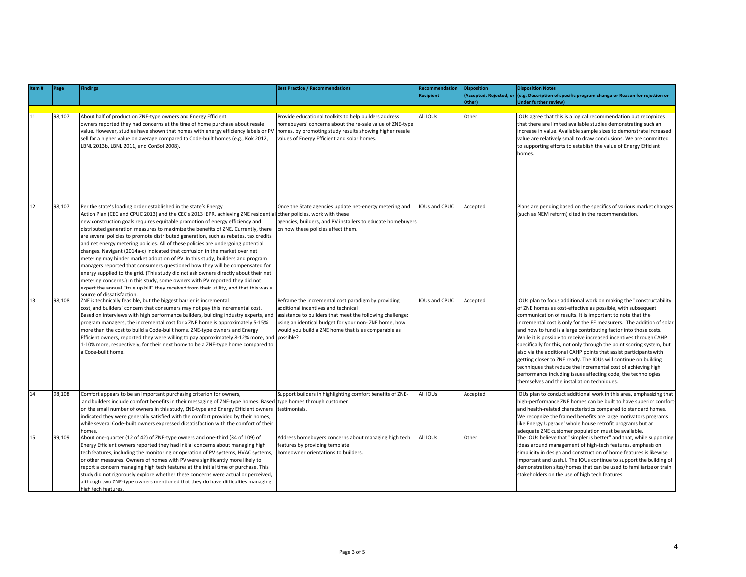| Item# | Page   | Findings                                                                                                                                                                                                                                                                                                                                                                                                                                                                                                                                                                                                                                                                                                                                                                                                                                                                                                                                                                                                                                                                                | <b>Best Practice / Recommendations</b>                                                                                                                                                                                                                                | Recommendation       | <b>Disposition</b>      | <b>Disposition Notes</b>                                                                                                                                                                                                                                                                                                                                                                                                                                                                                                                                                                                                                                                                                                                                                                                            |
|-------|--------|-----------------------------------------------------------------------------------------------------------------------------------------------------------------------------------------------------------------------------------------------------------------------------------------------------------------------------------------------------------------------------------------------------------------------------------------------------------------------------------------------------------------------------------------------------------------------------------------------------------------------------------------------------------------------------------------------------------------------------------------------------------------------------------------------------------------------------------------------------------------------------------------------------------------------------------------------------------------------------------------------------------------------------------------------------------------------------------------|-----------------------------------------------------------------------------------------------------------------------------------------------------------------------------------------------------------------------------------------------------------------------|----------------------|-------------------------|---------------------------------------------------------------------------------------------------------------------------------------------------------------------------------------------------------------------------------------------------------------------------------------------------------------------------------------------------------------------------------------------------------------------------------------------------------------------------------------------------------------------------------------------------------------------------------------------------------------------------------------------------------------------------------------------------------------------------------------------------------------------------------------------------------------------|
|       |        |                                                                                                                                                                                                                                                                                                                                                                                                                                                                                                                                                                                                                                                                                                                                                                                                                                                                                                                                                                                                                                                                                         |                                                                                                                                                                                                                                                                       | <b>Recipient</b>     | (Accepted, Rejected, or | (e.g. Description of specific program change or Reason for rejection or                                                                                                                                                                                                                                                                                                                                                                                                                                                                                                                                                                                                                                                                                                                                             |
|       |        |                                                                                                                                                                                                                                                                                                                                                                                                                                                                                                                                                                                                                                                                                                                                                                                                                                                                                                                                                                                                                                                                                         |                                                                                                                                                                                                                                                                       |                      | Other)                  | Under further review)                                                                                                                                                                                                                                                                                                                                                                                                                                                                                                                                                                                                                                                                                                                                                                                               |
|       | 98,107 | About half of production ZNE-type owners and Energy Efficient<br>owners reported they had concerns at the time of home purchase about resale<br>value. However, studies have shown that homes with energy efficiency labels or PV<br>sell for a higher value on average compared to Code-built homes (e.g., Kok 2012,<br>LBNL 2013b, LBNL 2011, and ConSol 2008).                                                                                                                                                                                                                                                                                                                                                                                                                                                                                                                                                                                                                                                                                                                       | Provide educational toolkits to help builders address<br>homebuyers' concerns about the re-sale value of ZNE-type<br>homes, by promoting study results showing higher resale<br>values of Energy Efficient and solar homes.                                           | All IOUs             | Other                   | IOUs agree that this is a logical recommendation but recognizes<br>that there are limited available studies demonstrating such an<br>increase in value. Available sample sizes to demonstrate increased<br>value are relatively small to draw conclusions. We are committed<br>to supporting efforts to establish the value of Energy Efficient<br>homes.                                                                                                                                                                                                                                                                                                                                                                                                                                                           |
| 12    | 98,107 | Per the state's loading order established in the state's Energy<br>Action Plan (CEC and CPUC 2013) and the CEC's 2013 IEPR, achieving ZNE residential other policies, work with these<br>new construction goals requires equitable promotion of energy efficiency and<br>distributed generation measures to maximize the benefits of ZNE. Currently, there<br>are several policies to promote distributed generation, such as rebates, tax credits<br>and net energy metering policies. All of these policies are undergoing potential<br>changes. Navigant (2014a-c) indicated that confusion in the market over net<br>metering may hinder market adoption of PV. In this study, builders and program<br>managers reported that consumers questioned how they will be compensated for<br>energy supplied to the grid. (This study did not ask owners directly about their net<br>metering concerns.) In this study, some owners with PV reported they did not<br>expect the annual "true up bill" they received from their utility, and that this was a<br>source of dissatisfaction. | Once the State agencies update net-energy metering and<br>agencies, builders, and PV installers to educate homebuyers<br>on how these policies affect them.                                                                                                           | IOUs and CPUC        | Accepted                | Plans are pending based on the specifics of various market changes<br>(such as NEM reform) cited in the recommendation.                                                                                                                                                                                                                                                                                                                                                                                                                                                                                                                                                                                                                                                                                             |
| 13    | 98,108 | ZNE is technically feasible, but the biggest barrier is incremental<br>cost, and builders' concern that consumers may not pay this incremental cost.<br>Based on interviews with high performance builders, building industry experts, and<br>program managers, the incremental cost for a ZNE home is approximately 5-15%<br>more than the cost to build a Code-built home. ZNE-type owners and Energy<br>Efficient owners, reported they were willing to pay approximately 8-12% more, and possible?<br>1-10% more, respectively, for their next home to be a ZNE-type home compared to<br>a Code-built home.                                                                                                                                                                                                                                                                                                                                                                                                                                                                         | Reframe the incremental cost paradigm by providing<br>additional incentives and technical<br>assistance to builders that meet the following challenge:<br>using an identical budget for your non-ZNE home, how<br>would you build a ZNE home that is as comparable as | <b>IOUs and CPUC</b> | Accepted                | IOUs plan to focus additional work on making the "constructability'<br>of ZNE homes as cost-effective as possible, with subsequent<br>communication of results. It is important to note that the<br>incremental cost is only for the EE measurers. The addition of solar<br>and how to fund is a large contributing factor into those costs.<br>While it is possible to receive increased incentives through CAHP<br>specifically for this, not only through the point scoring system, but<br>also via the additional CAHP points that assist participants with<br>getting closer to ZNE ready. The IOUs will continue on building<br>techniques that reduce the incremental cost of achieving high<br>performance including issues affecting code, the technologies<br>themselves and the installation techniques. |
| 14    | 98,108 | Comfort appears to be an important purchasing criterion for owners,<br>and builders include comfort benefits in their messaging of ZNE-type homes. Based type homes through customer<br>on the small number of owners in this study, ZNE-type and Energy Efficient owners<br>indicated they were generally satisfied with the comfort provided by their homes,<br>while several Code-built owners expressed dissatisfaction with the comfort of their<br>homes.                                                                                                                                                                                                                                                                                                                                                                                                                                                                                                                                                                                                                         | Support builders in highlighting comfort benefits of ZNE-<br>Itestimonials.                                                                                                                                                                                           | All IOUs             | Accepted                | IOUs plan to conduct additional work in this area, emphasizing that<br>high-performance ZNE homes can be built to have superior comfort<br>and health-related characteristics compared to standard homes.<br>We recognize the framed benefits are large motivators programs<br>like Energy Upgrade' whole house retrofit programs but an<br>adequate ZNE customer population must be available.                                                                                                                                                                                                                                                                                                                                                                                                                     |
| 15    | 99,109 | About one-quarter (12 of 42) of ZNE-type owners and one-third (34 of 109) of<br>Energy Efficient owners reported they had initial concerns about managing high<br>tech features, including the monitoring or operation of PV systems, HVAC systems,<br>or other measures. Owners of homes with PV were significantly more likely to<br>report a concern managing high tech features at the initial time of purchase. This<br>study did not rigorously explore whether these concerns were actual or perceived,<br>although two ZNE-type owners mentioned that they do have difficulties managing<br>high tech features.                                                                                                                                                                                                                                                                                                                                                                                                                                                                 | Address homebuyers concerns about managing high tech<br>features by providing template<br>homeowner orientations to builders.                                                                                                                                         | All IOUs             | Other                   | The IOUs believe that "simpler is better" and that, while supporting<br>ideas around management of high-tech features, emphasis on<br>simplicity in design and construction of home features is likewise<br>important and useful. The IOUs continue to support the building of<br>demonstration sites/homes that can be used to familiarize or train<br>stakeholders on the use of high tech features.                                                                                                                                                                                                                                                                                                                                                                                                              |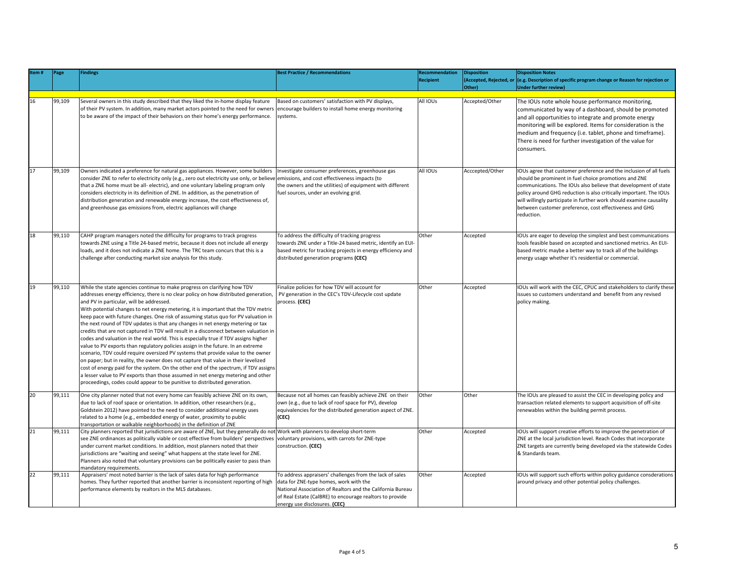| tem# | Page   | <b>Findings</b>                                                                                                                                                                                                                                                                                                                                                                                                                                                                                                                                                                                                                                                                                                                                                                                                                                                                                                                                                                                                                                                                                                                                                                     | <b>Best Practice / Recommendations</b>                                                                                                                                                                                                                        | Recommendation<br><b>Recipient</b> | <b>Disposition</b><br>Other) | <b>Disposition Notes</b><br>(Accepted, Rejected, or (e.g. Description of specific program change or Reason for rejection or<br>Under further review)                                                                                                                                                                                                                                                                 |
|------|--------|-------------------------------------------------------------------------------------------------------------------------------------------------------------------------------------------------------------------------------------------------------------------------------------------------------------------------------------------------------------------------------------------------------------------------------------------------------------------------------------------------------------------------------------------------------------------------------------------------------------------------------------------------------------------------------------------------------------------------------------------------------------------------------------------------------------------------------------------------------------------------------------------------------------------------------------------------------------------------------------------------------------------------------------------------------------------------------------------------------------------------------------------------------------------------------------|---------------------------------------------------------------------------------------------------------------------------------------------------------------------------------------------------------------------------------------------------------------|------------------------------------|------------------------------|----------------------------------------------------------------------------------------------------------------------------------------------------------------------------------------------------------------------------------------------------------------------------------------------------------------------------------------------------------------------------------------------------------------------|
| 16   | 99,109 | Several owners in this study described that they liked the in-home display feature<br>of their PV system. In addition, many market actors pointed to the need for owners<br>to be aware of the impact of their behaviors on their home's energy performance.                                                                                                                                                                                                                                                                                                                                                                                                                                                                                                                                                                                                                                                                                                                                                                                                                                                                                                                        | Based on customers' satisfaction with PV displays,<br>encourage builders to install home energy monitoring<br>systems.                                                                                                                                        | All IOUs                           | Accepted/Other               | The IOUs note whole house performance monitoring,<br>communicated by way of a dashboard, should be promoted<br>and all opportunities to integrate and promote energy<br>monitoring will be explored. Items for consideration is the<br>medium and frequency (i.e. tablet, phone and timeframe).<br>There is need for further investigation of the value for<br>consumers.                                            |
| 17   | 99,109 | Owners indicated a preference for natural gas appliances. However, some builders<br>consider ZNE to refer to electricity only (e.g., zero out electricity use only, or believe emissions, and cost effectiveness impacts (to<br>that a ZNE home must be all- electric), and one voluntary labeling program only<br>considers electricity in its definition of ZNE. In addition, as the penetration of<br>distribution generation and renewable energy increase, the cost effectiveness of,<br>and greenhouse gas emissions from, electric appliances will change                                                                                                                                                                                                                                                                                                                                                                                                                                                                                                                                                                                                                    | Investigate consumer preferences, greenhouse gas<br>the owners and the utilities) of equipment with different<br>fuel sources, under an evolving grid.                                                                                                        | All IOUs                           | Acccepted/Other              | IOUs agree that customer preference and the inclusion of all fuels<br>should be prominent in fuel choice promotions and ZNE<br>communications. The IOUs also believe that development of state<br>policy around GHG reduction is also critically important. The IOUs<br>will willingly participate in further work should examine causality<br>between customer preference, cost effectiveness and GHG<br>reduction. |
| 18   | 99,110 | CAHP program managers noted the difficulty for programs to track progress<br>towards ZNE using a Title 24-based metric, because it does not include all energy<br>loads, and it does not indicate a ZNE home. The TRC team concurs that this is a<br>challenge after conducting market size analysis for this study.                                                                                                                                                                                                                                                                                                                                                                                                                                                                                                                                                                                                                                                                                                                                                                                                                                                                | To address the difficulty of tracking progress<br>towards ZNE under a Title-24 based metric, identify an EUI-<br>based metric for tracking projects in energy efficiency and<br>distributed generation programs (CEC)                                         | Other                              | Accepted                     | IOUs are eager to develop the simplest and best communications<br>tools feasible based on accepted and sanctioned metrics. An EUI-<br>based metric maybe a better way to track all of the buildings<br>energy usage whether it's residential or commercial.                                                                                                                                                          |
| 19   | 99,110 | While the state agencies continue to make progress on clarifying how TDV<br>addresses energy efficiency, there is no clear policy on how distributed generation,<br>and PV in particular, will be addressed.<br>With potential changes to net energy metering, it is important that the TDV metric<br>keep pace with future changes. One risk of assuming status quo for PV valuation in<br>the next round of TDV updates is that any changes in net energy metering or tax<br>credits that are not captured in TDV will result in a disconnect between valuation in<br>codes and valuation in the real world. This is especially true if TDV assigns higher<br>value to PV exports than regulatory policies assign in the future. In an extreme<br>scenario, TDV could require oversized PV systems that provide value to the owner<br>on paper; but in reality, the owner does not capture that value in their levelized<br>cost of energy paid for the system. On the other end of the spectrum, if TDV assigns<br>a lesser value to PV exports than those assumed in net energy metering and other<br>proceedings, codes could appear to be punitive to distributed generation. | Finalize policies for how TDV will account for<br>PV generation in the CEC's TDV-Lifecycle cost update<br>process. (CEC)                                                                                                                                      | Other                              | Accepted                     | IOUs will work with the CEC, CPUC and stakeholders to clarify these<br>issues so customers understand and benefit from any revised<br>policy making.                                                                                                                                                                                                                                                                 |
| 20   | 99,111 | One city planner noted that not every home can feasibly achieve ZNE on its own,<br>due to lack of roof space or orientation. In addition, other researchers (e.g.,<br>Goldstein 2012) have pointed to the need to consider additional energy uses<br>related to a home (e.g., embedded energy of water, proximity to public<br>transportation or walkable neighborhoods) in the definition of ZNE                                                                                                                                                                                                                                                                                                                                                                                                                                                                                                                                                                                                                                                                                                                                                                                   | Because not all homes can feasibly achieve ZNE on their<br>own (e.g., due to lack of roof space for PV), develop<br>equivalencies for the distributed generation aspect of ZNE.<br>(CEC)                                                                      | Other                              | Other                        | The IOUs are pleased to assist the CEC in developing policy and<br>transaction related elements to support acquisition of off-site<br>renewables within the building permit process.                                                                                                                                                                                                                                 |
| 21   | 99,111 | City planners reported that jurisdictions are aware of ZNE, but they generally do not Work with planners to develop short-term<br>see ZNE ordinances as politically viable or cost effective from builders' perspectives<br>under current market conditions. In addition, most planners noted that their<br>jurisdictions are "waiting and seeing" what happens at the state level for ZNE.<br>Planners also noted that voluntary provisions can be politically easier to pass than<br>mandatory requirements.                                                                                                                                                                                                                                                                                                                                                                                                                                                                                                                                                                                                                                                                      | voluntary provisions, with carrots for ZNE-type<br>construction. (CEC)                                                                                                                                                                                        | Other                              | Accepted                     | IOUs will support creative efforts to improve the penetration of<br>ZNE at the local jurisdiction level. Reach Codes that incorporate<br>ZNE targets are currently being developed via the statewide Codes<br>& Standards team.                                                                                                                                                                                      |
| 22   | 99,111 | Appraisers' most noted barrier is the lack of sales data for high performance<br>homes. They further reported that another barrier is inconsistent reporting of high<br>performance elements by realtors in the MLS databases.                                                                                                                                                                                                                                                                                                                                                                                                                                                                                                                                                                                                                                                                                                                                                                                                                                                                                                                                                      | To address appraisers' challenges from the lack of sales<br>data for ZNE-type homes, work with the<br>National Association of Realtors and the California Bureau<br>of Real Estate (CalBRE) to encourage realtors to provide<br>energy use disclosures. (CEC) | Other                              | Accepted                     | IOUs will support such efforts within policy guidance consderations<br>around privacy and other potential policy challenges.                                                                                                                                                                                                                                                                                         |